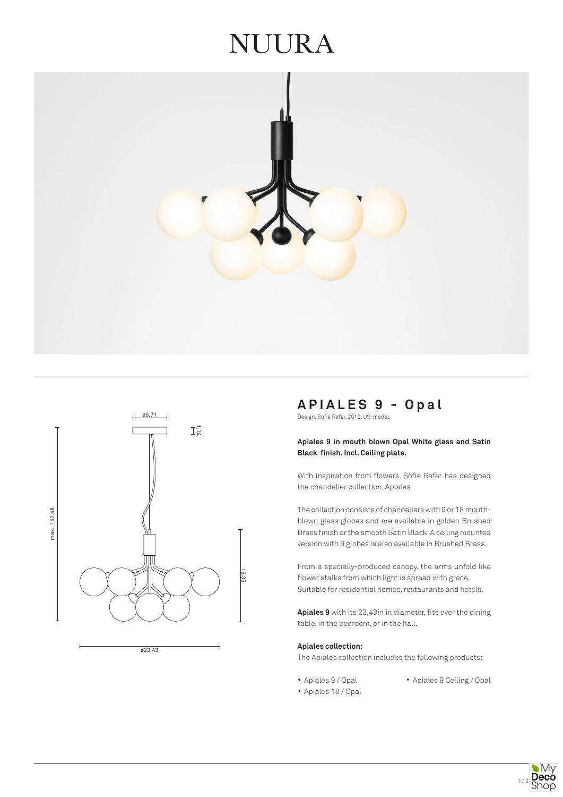# JUURA





# **APIALES 9 - Opal**

Design: Sofie Refer, 2019. US-model.

#### **Apiales 9 in mouth blown Opal White glass and Satin Black finish. Incl. Ceiling plate.**

With inspiration from flowers, Sofie Refer has designed the chandelier collection, Apiales.

The collection consists of chandeliers with 9 or 18 mouthblown glass globes and are available in golden Brushed Brass finish or the smooth Satin Black. A ceiling mounted version with 9 globes is also available in Brushed Brass.

From a specially-produced canopy, the arms unfold like flower stalks from which light is spread with grace. Suitable for residential homes, restaurants and hotels.

**Apiales 9** with its 23,43in in diameter, fits over the dining table, in the bedroom, or in the hall.

#### **Apiales collection:**

The Apiales collection includes the following products:

- 
- Apiales 9 / Opal Apiales 9 Ceiling / Opal
- Apiales 18 / Opal